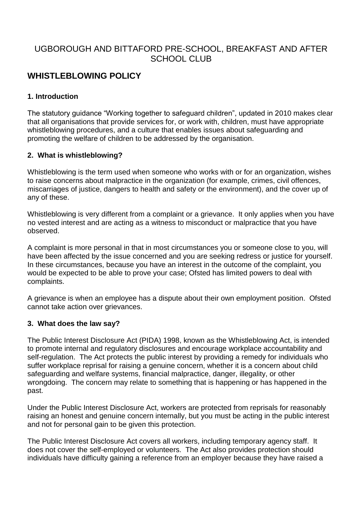# UGBOROUGH AND BITTAFORD PRE-SCHOOL, BREAKFAST AND AFTER SCHOOL CLUB

# **WHISTLEBLOWING POLICY**

## **1. Introduction**

The statutory guidance "Working together to safeguard children", updated in 2010 makes clear that all organisations that provide services for, or work with, children, must have appropriate whistleblowing procedures, and a culture that enables issues about safeguarding and promoting the welfare of children to be addressed by the organisation.

#### **2. What is whistleblowing?**

Whistleblowing is the term used when someone who works with or for an organization, wishes to raise concerns about malpractice in the organization (for example, crimes, civil offences, miscarriages of justice, dangers to health and safety or the environment), and the cover up of any of these.

Whistleblowing is very different from a complaint or a grievance. It only applies when you have no vested interest and are acting as a witness to misconduct or malpractice that you have observed.

A complaint is more personal in that in most circumstances you or someone close to you, will have been affected by the issue concerned and you are seeking redress or justice for yourself. In these circumstances, because you have an interest in the outcome of the complaint, you would be expected to be able to prove your case; Ofsted has limited powers to deal with complaints.

A grievance is when an employee has a dispute about their own employment position. Ofsted cannot take action over grievances.

#### **3. What does the law say?**

The Public Interest Disclosure Act (PIDA) 1998, known as the Whistleblowing Act, is intended to promote internal and regulatory disclosures and encourage workplace accountability and self-regulation. The Act protects the public interest by providing a remedy for individuals who suffer workplace reprisal for raising a genuine concern, whether it is a concern about child safeguarding and welfare systems, financial malpractice, danger, illegality, or other wrongdoing. The concern may relate to something that is happening or has happened in the past.

Under the Public Interest Disclosure Act, workers are protected from reprisals for reasonably raising an honest and genuine concern internally, but you must be acting in the public interest and not for personal gain to be given this protection.

The Public Interest Disclosure Act covers all workers, including temporary agency staff. It does not cover the self-employed or volunteers. The Act also provides protection should individuals have difficulty gaining a reference from an employer because they have raised a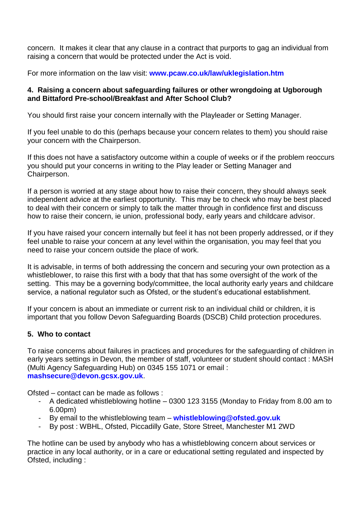concern. It makes it clear that any clause in a contract that purports to gag an individual from raising a concern that would be protected under the Act is void.

For more information on the law visit: **[www.pcaw.co.uk/law/uklegislation.htm](http://www.pcaw.co.uk/law/uklegislation.htm)**

### **4. Raising a concern about safeguarding failures or other wrongdoing at Ugborough and Bittaford Pre-school/Breakfast and After School Club?**

You should first raise your concern internally with the Playleader or Setting Manager.

If you feel unable to do this (perhaps because your concern relates to them) you should raise your concern with the Chairperson.

If this does not have a satisfactory outcome within a couple of weeks or if the problem reoccurs you should put your concerns in writing to the Play leader or Setting Manager and Chairperson.

If a person is worried at any stage about how to raise their concern, they should always seek independent advice at the earliest opportunity. This may be to check who may be best placed to deal with their concern or simply to talk the matter through in confidence first and discuss how to raise their concern, ie union, professional body, early years and childcare advisor.

If you have raised your concern internally but feel it has not been properly addressed, or if they feel unable to raise your concern at any level within the organisation, you may feel that you need to raise your concern outside the place of work.

It is advisable, in terms of both addressing the concern and securing your own protection as a whistleblower, to raise this first with a body that that has some oversight of the work of the setting. This may be a governing body/committee, the local authority early years and childcare service, a national regulator such as Ofsted, or the student's educational establishment.

If your concern is about an immediate or current risk to an individual child or children, it is important that you follow Devon Safeguarding Boards (DSCB) Child protection procedures.

## **5. Who to contact**

To raise concerns about failures in practices and procedures for the safeguarding of children in early years settings in Devon, the member of staff, volunteer or student should contact : MASH (Multi Agency Safeguarding Hub) on 0345 155 1071 or email : **[mashsecure@devon.gcsx.gov.uk](mailto:mashsecure@devon.gcsx.gov.uk)**.

Ofsted – contact can be made as follows :

- A dedicated whistleblowing hotline 0300 123 3155 (Monday to Friday from 8.00 am to 6.00pm)
- By email to the whistleblowing team **[whistleblowing@ofsted.gov.uk](mailto:whistleblowing@ofsted.gov.uk)**
- By post : WBHL, Ofsted, Piccadilly Gate, Store Street, Manchester M1 2WD

The hotline can be used by anybody who has a whistleblowing concern about services or practice in any local authority, or in a care or educational setting regulated and inspected by Ofsted, including :